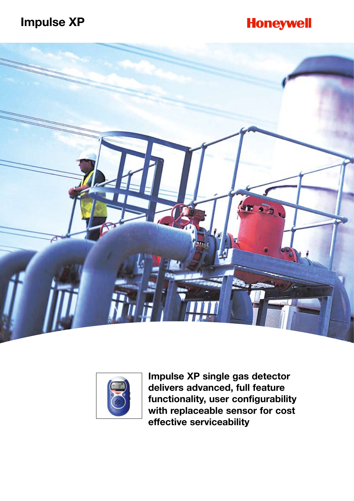### **Impulse XP**

## **Honeywell**





**Impulse XP single gas detector delivers advanced, full feature functionality, user configurability with replaceable sensor for cost effective serviceability**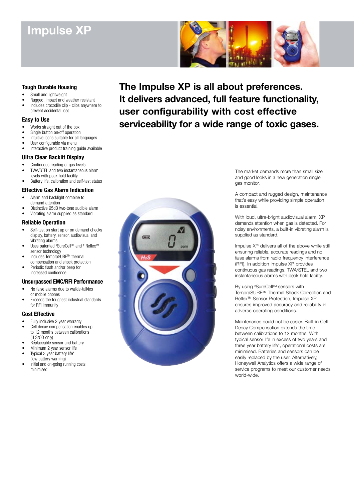## **Impulse XP**



### **Tough Durable Housing**

- Small and lightweight
- Rugged, impact and weather resistant
- Includes crocodile clip clips anywhere to prevent accidental loss

### **Easy to Use**

- Works straight out of the box
- Single button on/off operation
- Intuitive icons suitable for all languages
- User configurable via menu
- Interactive product training guide available

### **Ultra Clear Backlit Display**

- Continuous reading of gas levels • TWA/STEL and two instantaneous alarm
- levels with peak hold facility Battery life, calibration and self-test status

### **Effective Gas Alarm Indication**

- Alarm and backlight combine to demand attention
- Distinctive 95dB two-tone audible alarm
- Vibrating alarm supplied as standard

### **Reliable Operation**

- Self-test on start up or on demand checks display, battery, sensor, audiovisual and vibrating alarms
- Uses patented #SureCell<sup>™</sup> and <sup>+</sup> Reflex<sup>™</sup> sensor technology
- Includes TempraSURETM thermal compensation and shock protection
- Periodic flash and/or beep for increased confidence

### **Unsurpassed EMC/RFI Performance**

- No false alarms due to walkie-talkies or mobile phones
- Exceeds the toughest industrial standards for RFI immunity

### **Cost Effective**

- Fully inclusive 2 year warranty
- Cell decay compensation enables up to 12 months between calibrations (H<sub>2</sub>S/CO only)
- Replaceable sensor and battery
- Minimum 2 year sensor life
- Typical 3 year battery life\* (low battery warning)
- Initial and on-going running costs minimised

**The Impulse XP is all about preferences. It delivers advanced, full feature functionality, user configurability with cost effective serviceability for a wide range of toxic gases.** 



The market demands more than small size and good looks in a new generation single gas monitor.

A compact and rugged design, maintenance that's easy while providing simple operation is essential.

With loud, ultra-bright audiovisual alarm, XP demands attention when gas is detected. For noisy environments, a built-in vibrating alarm is supplied as standard.

Impulse XP delivers all of the above while still ensuring reliable, accurate readings and no false alarms from radio frequency interference (RFI). In addition Impulse XP provides continuous gas readings, TWA/STEL and two instantaneous alarms with peak hold facility.

By using #SureCell™ sensors with TempraSURETM Thermal Shock Correction and Reflex<sup>™</sup> Sensor Protection, Impulse XP ensures improved accuracy and reliability in adverse operating conditions.

Maintenance could not be easier. Built-in Cell Decay Compensation extends the time between calibrations to 12 months. With typical sensor life in excess of two years and three year battery life\*, operational costs are minimised. Batteries and sensors can be easily replaced by the user. Alternatively, Honeywell Analytics offers a wide range of service programs to meet our customer needs world-wide.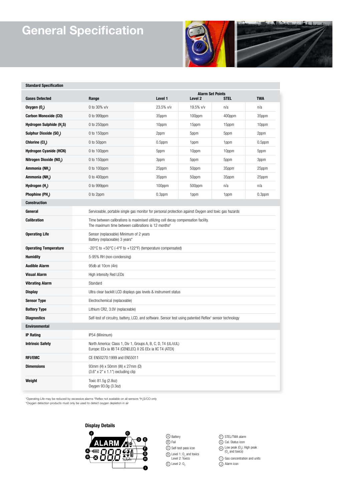# **General Specification**

**Standard Specification**



**MA** the states of the distance of the

| ətanuaru əpecmcation                 |                                                                                                                      |                                                                                                                                                       |                                    |        |            |  |  |  |  |
|--------------------------------------|----------------------------------------------------------------------------------------------------------------------|-------------------------------------------------------------------------------------------------------------------------------------------------------|------------------------------------|--------|------------|--|--|--|--|
| <b>Gases Detected</b>                | Range                                                                                                                | Level 1                                                                                                                                               | <b>Alarm Set Points</b><br>Level 2 | STEL   | <b>TWA</b> |  |  |  |  |
| Oxygen (O.)                          | 0 to 30% v/v                                                                                                         | 23.5% v/v                                                                                                                                             | 19.5% v/v                          | n/a    | n/a        |  |  |  |  |
| <b>Carbon Monoxide (CO)</b>          | 0 to 999ppm                                                                                                          | 35ppm                                                                                                                                                 | 100ppm                             | 400ppm | 35ppm      |  |  |  |  |
| Hydrogen Sulphide (H <sub>2</sub> S) | 0 to 250ppm                                                                                                          | 10ppm                                                                                                                                                 | 15ppm                              | 15ppm  | 10ppm      |  |  |  |  |
| Sulphur Dioxide (SO <sub>2</sub> )   | 0 to 150ppm                                                                                                          | 2ppm                                                                                                                                                  | 5ppm                               | 5ppm   | 2ppm       |  |  |  |  |
| Chlorine (Cl.)                       | 0 to 50ppm                                                                                                           | $0.5$ ppm                                                                                                                                             | 1ppm                               | 1ppm   | $0.5$ ppm  |  |  |  |  |
| Hydrogen Cyanide (HCN)               | 0 to 100ppm                                                                                                          | 5ppm                                                                                                                                                  | 10ppm                              | 10ppm  | 5ppm       |  |  |  |  |
| Nitrogen Dioxide (NO.)               | 0 to 150ppm                                                                                                          | 3ppm                                                                                                                                                  | 5ppm                               | 5ppm   | 3ppm       |  |  |  |  |
| Ammonia (NH <sub>2</sub> )           | 0 to 100ppm                                                                                                          | 25ppm                                                                                                                                                 | 50ppm                              | 35ppm  | 25ppm      |  |  |  |  |
| Ammonia (NH <sub>2</sub> )           | 0 to 400ppm                                                                                                          | 35ppm                                                                                                                                                 | 50ppm                              | 35ppm  | 25ppm      |  |  |  |  |
| Hydrogen (H <sub>2</sub> )           | 0 to 999ppm                                                                                                          | 100ppm                                                                                                                                                | 500ppm                             | n/a    | n/a        |  |  |  |  |
| Phophine (PH <sub>2</sub> )          | 0 to 2ppm                                                                                                            | $0.3$ ppm                                                                                                                                             | 1ppm                               | 1ppm   | $0.3$ ppm  |  |  |  |  |
| <b>Construction</b>                  |                                                                                                                      |                                                                                                                                                       |                                    |        |            |  |  |  |  |
| General                              |                                                                                                                      | Serviceable, portable single gas monitor for personal protection against Oxygen and toxic gas hazards                                                 |                                    |        |            |  |  |  |  |
| <b>Calibration</b>                   |                                                                                                                      | Time between calibrations is maximised utilizing cell decay compensation facility.<br>The maximum time between calibrations is 12 months <sup>#</sup> |                                    |        |            |  |  |  |  |
| <b>Operating Life</b>                | Sensor (replaceable) Minimum of 2 years<br>Battery (replaceable) 3 years*                                            |                                                                                                                                                       |                                    |        |            |  |  |  |  |
| <b>Operating Temperature</b>         | -20 $^{\circ}$ C to +50 $^{\circ}$ C (-4 $^{\circ}$ F to +122 $^{\circ}$ F) (temperature compensated)                |                                                                                                                                                       |                                    |        |            |  |  |  |  |
| <b>Humidity</b>                      | 5-95% RH (non-condensing)                                                                                            |                                                                                                                                                       |                                    |        |            |  |  |  |  |
| <b>Audible Alarm</b>                 | 95db at 10cm (4in)                                                                                                   |                                                                                                                                                       |                                    |        |            |  |  |  |  |
| <b>Visual Alarm</b>                  | High intensity Red LEDs                                                                                              |                                                                                                                                                       |                                    |        |            |  |  |  |  |
| <b>Vibrating Alarm</b>               | Standard                                                                                                             |                                                                                                                                                       |                                    |        |            |  |  |  |  |
| <b>Display</b>                       | Ultra clear backlit LCD displays gas levels & instrument status                                                      |                                                                                                                                                       |                                    |        |            |  |  |  |  |
| <b>Sensor Type</b>                   | Electrochemical (replaceable)                                                                                        |                                                                                                                                                       |                                    |        |            |  |  |  |  |
| <b>Battery Type</b>                  | Lithium CR2, 3.0V (replaceable)                                                                                      |                                                                                                                                                       |                                    |        |            |  |  |  |  |
| <b>Diagnostics</b>                   | Self-test of circuitry, battery, LCD, and software. Sensor test using patented Reflex <sup>+</sup> sensor technology |                                                                                                                                                       |                                    |        |            |  |  |  |  |
| <b>Environmental</b>                 |                                                                                                                      |                                                                                                                                                       |                                    |        |            |  |  |  |  |
| <b>IP Rating</b>                     | IP54 (Minimum)                                                                                                       |                                                                                                                                                       |                                    |        |            |  |  |  |  |
| <b>Intrinsic Safety</b>              |                                                                                                                      | North America: Class 1, Div 1, Groups A, B, C, D, T4 (UL/cUL)<br>Europe: EEx ia IIB T4 (CENELEC) II 2G EEx ia IIC T4 (ATEX)                           |                                    |        |            |  |  |  |  |
| <b>RFI/EMC</b>                       | CE EN50270:1999 and EN55011                                                                                          |                                                                                                                                                       |                                    |        |            |  |  |  |  |
| <b>Dimensions</b>                    | 93mm (H) x 50mm (W) x 27mm (D)<br>(3.6" x 2" x 1.1") excluding clip                                                  |                                                                                                                                                       |                                    |        |            |  |  |  |  |
| Weight                               | Toxic 81.5g (2.8oz)<br>Oxygen 93.0g (3.3oz)                                                                          |                                                                                                                                                       |                                    |        |            |  |  |  |  |

\*Operating Life may be reduced by excessive alarms † Reflex not available on all sensors # H2 S/CO only \*Oxygen detection products must only be used to detect oxygen depletion in air

**Display Details**



B) Fail C) Self-test pass icon  $D$  Level 1:  $O<sub>2</sub>$  and toxics<br>Level 2: Toxics  $\overline{\mathbb{D}}$  Level 2: 0,

STEL/TWA alarm (F) STEL/TWA aları<br>G) Cal. Status icon  $\oplus$  Low peak (O<sub>2</sub>), High peak (O<sub>2</sub>) and toxics)

 $\bigcirc$  Gas concentration and units Alarm icon J I